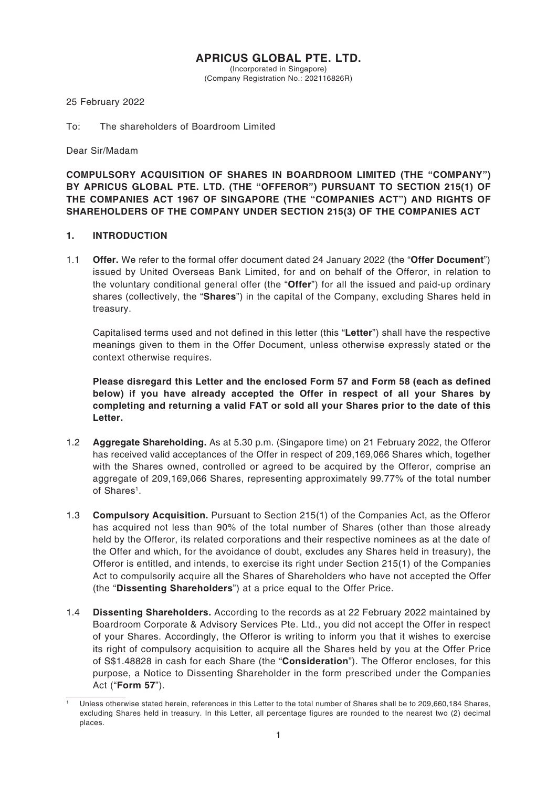# **APRICUS GLOBAL PTE. LTD.**

(Incorporated in Singapore) (Company Registration No.: 202116826R)

25 February 2022

### To: The shareholders of Boardroom Limited

Dear Sir/Madam

**COMPULSORY ACQUISITION OF SHARES IN BOARDROOM LIMITED (THE "COMPANY") BY APRICUS GLOBAL PTE. LTD. (THE "OFFEROR") PURSUANT TO SECTION 215(1) OF THE COMPANIES ACT 1967 OF SINGAPORE (THE "COMPANIES ACT") AND RIGHTS OF SHAREHOLDERS OF THE COMPANY UNDER SECTION 215(3) OF THE COMPANIES ACT**

#### **1. INTRODUCTION**

1.1 **Offer.** We refer to the formal offer document dated 24 January 2022 (the "**Offer Document**") issued by United Overseas Bank Limited, for and on behalf of the Offeror, in relation to the voluntary conditional general offer (the "**Offer**") for all the issued and paid-up ordinary shares (collectively, the "**Shares**") in the capital of the Company, excluding Shares held in treasury.

Capitalised terms used and not defined in this letter (this "**Letter**") shall have the respective meanings given to them in the Offer Document, unless otherwise expressly stated or the context otherwise requires.

**Please disregard this Letter and the enclosed Form 57 and Form 58 (each as defined below) if you have already accepted the Offer in respect of all your Shares by completing and returning a valid FAT or sold all your Shares prior to the date of this Letter.**

- 1.2 **Aggregate Shareholding.** As at 5.30 p.m. (Singapore time) on 21 February 2022, the Offeror has received valid acceptances of the Offer in respect of 209,169,066 Shares which, together with the Shares owned, controlled or agreed to be acquired by the Offeror, comprise an aggregate of 209,169,066 Shares, representing approximately 99.77% of the total number of Shares<sup>1</sup>.
- 1.3 **Compulsory Acquisition.** Pursuant to Section 215(1) of the Companies Act, as the Offeror has acquired not less than 90% of the total number of Shares (other than those already held by the Offeror, its related corporations and their respective nominees as at the date of the Offer and which, for the avoidance of doubt, excludes any Shares held in treasury), the Offeror is entitled, and intends, to exercise its right under Section 215(1) of the Companies Act to compulsorily acquire all the Shares of Shareholders who have not accepted the Offer (the "**Dissenting Shareholders**") at a price equal to the Offer Price.
- 1.4 **Dissenting Shareholders.** According to the records as at 22 February 2022 maintained by Boardroom Corporate & Advisory Services Pte. Ltd., you did not accept the Offer in respect of your Shares. Accordingly, the Offeror is writing to inform you that it wishes to exercise its right of compulsory acquisition to acquire all the Shares held by you at the Offer Price of S\$1.48828 in cash for each Share (the "**Consideration**"). The Offeror encloses, for this purpose, a Notice to Dissenting Shareholder in the form prescribed under the Companies Act ("**Form 57**").

<sup>1</sup> Unless otherwise stated herein, references in this Letter to the total number of Shares shall be to 209,660,184 Shares, excluding Shares held in treasury. In this Letter, all percentage figures are rounded to the nearest two (2) decimal places.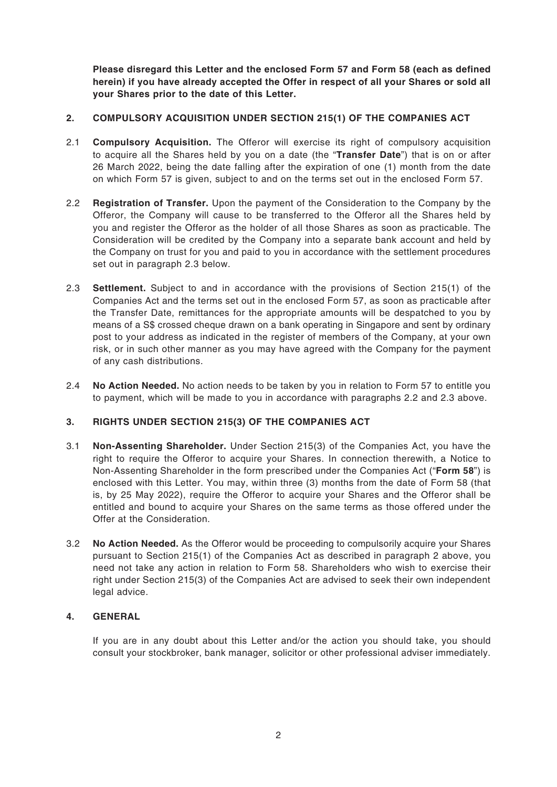**Please disregard this Letter and the enclosed Form 57 and Form 58 (each as defined herein) if you have already accepted the Offer in respect of all your Shares or sold all your Shares prior to the date of this Letter.**

# **2. COMPULSORY ACQUISITION UNDER SECTION 215(1) OF THE COMPANIES ACT**

- 2.1 **Compulsory Acquisition.** The Offeror will exercise its right of compulsory acquisition to acquire all the Shares held by you on a date (the "**Transfer Date**") that is on or after 26 March 2022, being the date falling after the expiration of one (1) month from the date on which Form 57 is given, subject to and on the terms set out in the enclosed Form 57.
- 2.2 **Registration of Transfer.** Upon the payment of the Consideration to the Company by the Offeror, the Company will cause to be transferred to the Offeror all the Shares held by you and register the Offeror as the holder of all those Shares as soon as practicable. The Consideration will be credited by the Company into a separate bank account and held by the Company on trust for you and paid to you in accordance with the settlement procedures set out in paragraph 2.3 below.
- 2.3 **Settlement.** Subject to and in accordance with the provisions of Section 215(1) of the Companies Act and the terms set out in the enclosed Form 57, as soon as practicable after the Transfer Date, remittances for the appropriate amounts will be despatched to you by means of a S\$ crossed cheque drawn on a bank operating in Singapore and sent by ordinary post to your address as indicated in the register of members of the Company, at your own risk, or in such other manner as you may have agreed with the Company for the payment of any cash distributions.
- 2.4 **No Action Needed.** No action needs to be taken by you in relation to Form 57 to entitle you to payment, which will be made to you in accordance with paragraphs 2.2 and 2.3 above.

### **3. RIGHTS UNDER SECTION 215(3) OF THE COMPANIES ACT**

- 3.1 **Non-Assenting Shareholder.** Under Section 215(3) of the Companies Act, you have the right to require the Offeror to acquire your Shares. In connection therewith, a Notice to Non-Assenting Shareholder in the form prescribed under the Companies Act ("**Form 58**") is enclosed with this Letter. You may, within three (3) months from the date of Form 58 (that is, by 25 May 2022), require the Offeror to acquire your Shares and the Offeror shall be entitled and bound to acquire your Shares on the same terms as those offered under the Offer at the Consideration.
- 3.2 **No Action Needed.** As the Offeror would be proceeding to compulsorily acquire your Shares pursuant to Section 215(1) of the Companies Act as described in paragraph 2 above, you need not take any action in relation to Form 58. Shareholders who wish to exercise their right under Section 215(3) of the Companies Act are advised to seek their own independent legal advice.

# **4. GENERAL**

If you are in any doubt about this Letter and/or the action you should take, you should consult your stockbroker, bank manager, solicitor or other professional adviser immediately.